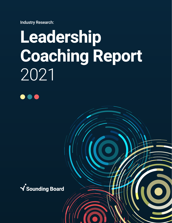Industry Research:

# **Leadership Coaching Report** 2021



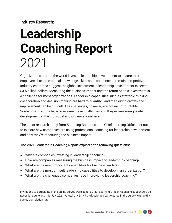Industry Research:

## **Leadership Coaching Report** 2021

Organizations around the world invest in leadership development to ensure their employees have the critical knowledge, skills and experience to remain competitive. Industry estimates suggest the global investment in leadership development exceeds \$3.5 billion dollars. Measuring the business impact and the return on this investment is a challenge for most organizations. Leadership capabilities such as strategic thinking, collaboration and decision making are hard to quantify - and measuring growth and improvement can be difficult. The challenges, however, are not insurmountable. Some organizations have overcome these challenges and they're measuring leader development at the individual and organizational level.

The latest research study from Sounding Board Inc. and Chief Learning Officer set out to explore how companies are using professional coaching for leadership development, and how they're measuring the business impact.

#### **The 2021 Leadership Coaching Report explored the following questions:**

- **●** Why are companies investing in leadership coaching?
- **●** How are companies measuring the business impact of leadership coaching?
- **●** What are the most important capabilities for business leaders?
- **●** What are the most difficult leadership capabilities to develop in an organization?
- **●** What are the challenges companies face in providing leadership coaching?

Invitations to participate in the online survey were sent to Chief Learning Officer Magazine subscribers between late June and mid-July 2021. A total of 458 HR professionals participated in the survey, with a 65% survey completion rate.

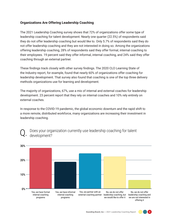#### **Organizations Are Offering Leadership Coaching**

The 2021 Leadership Coaching survey shows that 72% of organizations offer some type of leadership coaching for talent development. Nearly one quarter (22.5%) of respondents said they do not offer leadership coaching but would like to. Only 5.7% of respondents said they do not offer leadership coaching and they are not interested in doing so. Among the organizations offering leadership coaching, 28% of respondents said they offer formal, internal coaching to their employees. 19 percent said they offer informal, internal coaching, and 24% said they offer coaching through an external partner.

These findings track closely with other survey findings. The 2020 CLO Learning State of the Industry report, for example, found that nearly 60% of organizations offer coaching for leadership development. That survey also found that coaching is one of the top three delivery methods organizations use for learning and development.

The majority of organizations, 67%, use a mix of internal and external coaches for leadership development. 23 percent report that they rely on internal coaches and 10% rely entirely on external coaches.

In response to the COVID-19 pandemic, the global economic downturn and the rapid shift to a more remote, distributed workforce, many organizations are increasing their investment in leadership coaching.



Does your organization currently use leadership coaching for talent development? Q.

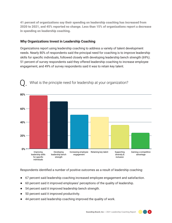41 percent of organizations say their spending on leadership coaching has increased from 2020 to 2021, and 45% reported no change. Less than 15% of organizations report a decrease in spending on leadership coaching.

#### **Why Organizations Invest in Leadership Coaching**

Organizations report using leadership coaching to address a variety of talent development needs. Nearly 80% of respondents said the principal need for coaching is to improve leadership skills for specific individuals, followed closely with developing leadership bench strength (69%). 51 percent of survey respondents said they offered leadership coaching to increase employee engagement, and 49% of survey respondents said it was to retain key talent.



Respondents identified a number of positive outcomes as a result of leadership coaching:

- **●** 67 percent said leadership coaching increased employee engagement and satisfaction.
- **●** 60 percent said it improved employees' perceptions of the quality of leadership.
- **●** 54 percent said it improved leadership bench strength.
- **●** 50 percent said it improved productivity.
- **●** 44 percent said leadership coaching improved the quality of work.

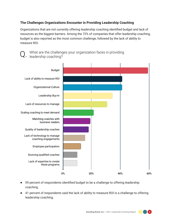#### **The Challenges Organizations Encounter in Providing Leadership Coaching**

Organizations that are not currently offering leadership coaching identified budget and lack of resources as the biggest barriers. Among the 72% of companies that offer leadership coaching, budget is also reported as the most common challenge, followed by the lack of ability to measure ROI.

What are the challenges your organization faces in providing<br>
E. leadership coaching?



- **●** 59 percent of respondents identified budget to be a challenge to offering leadership coaching.
- **●** 41 percent of respondents said the lack of ability to measure ROI is a challenge to offering leadership coaching.

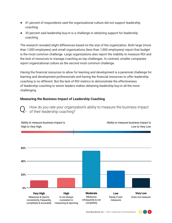- **●** 41 percent of respondents said the organizational culture did not support leadership coaching.
- **●** 35 percent said leadership buy-in is a challenge in obtaining support for leadership coaching.

The research revealed slight differences based on the size of the organization. Both large (more than 1,000 employees) and small organizations (less than 1,000 employees) report that budget is the most common challenge. Large organizations also report the inability to measure ROI and the lack of resources to manage coaching as top challenges. In contrast, smaller companies report organizational culture as the second most common challenge.

Having the financial resources to allow for learning and development is a perennial challenge for learning and development professionals and having the financial resources to offer leadership coaching is no different. But the lack of ROI metrics to demonstrate the effectiveness of leadership coaching to senior leaders makes obtaining leadership buy-in all the more challenging.

#### **Measuring the Business Impact of Leadership Coaching**

How do you rate your organization's ability to measure the business impact of their leadership coaching?



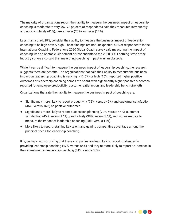The majority of organizations report their ability to measure the business impact of leadership coaching is moderate to very low. 73 percent of respondents said they measured infrequently and not completely (41%), rarely if ever (20%), or never (12%).

Less than a third, 28%, consider their ability to measure the business impact of leadership coaching to be high or very high. These findings are not unexpected; 42% of respondents to the International Coaching Federation's 2020 Global Coach survey said measuring the impact of coaching was an obstacle. 42 percent of respondents to the 2020 CLO Learning State of the Industry survey also said that measuring coaching impact was an obstacle.

While it can be difficult to measure the business impact of leadership coaching, the research suggests there are benefits. The organizations that said their ability to measure the business impact on leadership coaching is very high (11.5%) or high (16%) reported higher positive outcomes of leadership coaching across the board, with significantly higher positive outcomes reported for employee productivity, customer satisfaction, and leadership bench strength.

Organizations that rate their ability to measure the business impact of coaching are:

- **●** Significantly more likely to report productivity (72% versus 42%) and customer satisfaction (45% versus 16%) as positive outcomes.
- **●** Significantly more likely to report succession planning (72% versus 44%), customer satisfaction (45% versus 17%) , productivity (38% versus 17%), and ROI as metrics to measure the impact of leadership coaching (38% versus 11%).
- **●** More likely to report retaining key talent and gaining competitive advantage among the principal needs for leadership coaching.

It is, perhaps, not surprising that these companies are less likely to report challenges in providing leadership coaching (47% versus 64%) and they're more likely to report an increase in their investment in leadership coaching (51% versus 35%).

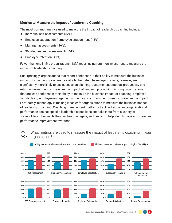#### **Metrics to Measure the Impact of Leadership Coaching**

The most common metrics used to measure the impact of leadership coaching include:

- **●** Individual self-assessments (52%).
- Employee satisfaction / employee engagement (48%).
- Manager assessments (46%).
- **●** 360-degree peer assessments (44%).
- Employee retention (41%).

Fewer than one in five organizations (18%) report using return on investment to measure the impact of leadership coaching.

Unsurprisingly, organizations that report confidence in their ability to measure the business impact of coaching use all metrics at a higher rate. These organizations, however, are significantly more likely to use succession planning, customer satisfaction, productivity and return on investment to measure the impact of leadership coaching. Among organizations that are less confident in their ability to measure the business impact of coaching, employee satisfaction / employee engagement is the most common metric used to measure the impact. Fortunately, technology is making it easier for organizations to measure the business impact of leadership coaching. Coaching management platforms track individual and organizational performance against specific leadership capabilities and take input from a variety of stakeholders—the coach, the coachee, managers, and peers—to help identify gaps and measure performance improvement over time.

## What metrics are used to measure the impact of leadership coaching in your organization?



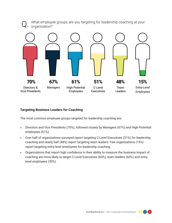

#### **Targeting Business Leaders for Coaching**

The most common employee groups targeted for leadership coaching are:

- Directors and Vice Presidents (70%), followed closely by Managers (67%) and High-Potential employees (61%).
- Over half of organizations surveyed report targeting C-Level Executives (51%) for leadership coaching and nearly half (48%) report targeting team leaders. Few organizations (15%) report targeting entry-level employees for leadership coaching.
- Organizations that report high confidence in their ability to measure the business impact of coaching are more likely to target C-Level Executives (60%), team leaders (60%) and entrylevel employees (30%).

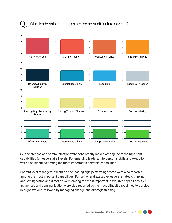

#### What leadership capabilities are the most difficult to develop?

Self-awareness and communication were consistently ranked among the most important capabilities for leaders at all levels. For emerging leaders, interpersonal skills and execution were also identified among the most important leadership capabilities.

For mid-level managers, execution and leading high-performing teams were also reported among the most important capabilities. For senior and executive leaders, strategic thinking and setting vision and direction were among the most important leadership capabilities. Selfawareness and communication were also reported as the most difficult capabilities to develop in organizations, followed by managing change and strategic thinking.

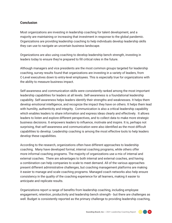#### **Conclusion**

Most organizations are investing in leadership coaching for talent development, and a majority are maintaining or increasing that investment in response to the global pandemic. Organizations are providing leadership coaching to help individuals develop leadership skills they can use to navigate an uncertain business landscape.

Organizations are also using coaching to develop leadership bench strength, investing in leaders today to ensure they're prepared to fill critical roles in the future.

Although managers and vice presidents are the most common groups targeted for leadership coaching, survey results found that organizations are investing in a variety of leaders, from C-Level executives down to entry-level employees. This is especially true for organizations with the ability to measure business impact.

Self-awareness and communication skills were consistently ranked among the most important leadership capabilities for leaders at all levels. Self-awareness is a foundational leadership capability. Self-awareness helps leaders identify their strengths and weaknesses. It helps them develop emotional intelligence, and recognize the impact they have on others. It helps them lead with humility, authenticity and integrity. Communication is also a critical leadership capability which enables leaders to share information and express ideas clearly and effectively. It allows leaders to listen and explore different perspectives, and to collect data to make more strategic business decisions. It empowers leaders to influence, motivate and inspire. It is, perhaps not surprising, that self-awareness and communication were also identified as the most difficult capabilities to develop. Leadership coaching is among the most effective tools to help leaders develop these capabilities.

According to the research, organizations often have different approaches to leadership coaching. Many have developed formal, internal coaching programs, while others offer more informal coaching programs. The majority of organizations use a mix of internal and external coaches. There are advantages to both internal and external coaches, and having a combination can help companies to scale to meet demand. All of the various approaches present different administrative challenges, but coaching management platforms are making it easier to manage and scale coaching programs. Managed coach networks also help ensure consistency in the quality of the coaching experience for all learners, making it easier to anticipate and replicate results.

Organizations report a range of benefits from leadership coaching, including employee engagement, retention, productivity and leadership bench strength - but there are challenges as well. Budget is consistently reported as the primary challenge to providing leadership coaching,

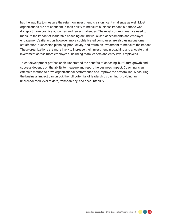but the inability to measure the return on investment is a significant challenge as well. Most organizations are not confident in their ability to measure business impact, but those who do report more positive outcomes and fewer challenges. The most common metrics used to measure the impact of leadership coaching are individual self-assessments and employee engagement/satisfaction, however, more sophisticated companies are also using customer satisfaction, succession planning, productivity, and return on investment to measure the impact. These organizations are more likely to increase their investment in coaching and allocate that investment across more employees, including team leaders and entry-level employees.

Talent development professionals understand the benefits of coaching, but future growth and success depends on the ability to measure and report the business impact. Coaching is an effective method to drive organizational performance and improve the bottom line. Measuring the business impact can unlock the full potential of leadership coaching, providing an unprecedented level of data, transparency, and accountability.

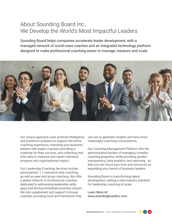### About Sounding Board Inc. We Develop the World's Most Impactful Leaders

Sounding Board helps companies accelerate leader development, with a managed network of world-class coaches and an integrated technology platform designed to make professional coaching easier to manage, measure and scale.



Our unique approach uses artificial intelligence and predictive analytics to support the entire coaching experience, matching your business leaders with expert coaches, providing a roadmap for their success, and collecting realtime data to measure and report individual progress and organizational impact.

Our Leadership Coaching Services include personalized, 1:1 executive-style coaching, as well as peer and group coaching. We offer a global network of professional coaches, dedicated to addressing leadership skills gaps and driving immediate business impact. We also supplement and support in-house coaches, providing tools and framework they

can use to generate insights and have more meaningful coaching conversations.

Our Coaching Management Platform lifts the administrative burden of managing complex coaching programs, while providing greater transparency, data analytics and reporting - so that you can focus your time and resources on expanding your bench of business leaders.

Sounding Board is transforming talent development, setting a new industry standard for leadership coaching at scale.

Learn More At: www.soundingboardinc.com